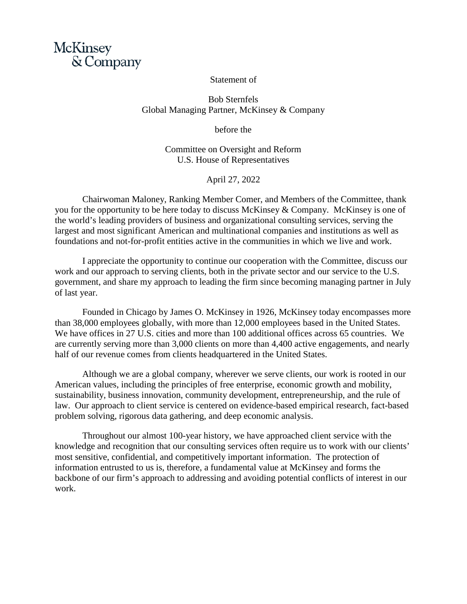

## Statement of

Bob Sternfels Global Managing Partner, McKinsey & Company

before the

Committee on Oversight and Reform U.S. House of Representatives

April 27, 2022

Chairwoman Maloney, Ranking Member Comer, and Members of the Committee, thank you for the opportunity to be here today to discuss McKinsey & Company. McKinsey is one of the world's leading providers of business and organizational consulting services, serving the largest and most significant American and multinational companies and institutions as well as foundations and not-for-profit entities active in the communities in which we live and work.

I appreciate the opportunity to continue our cooperation with the Committee, discuss our work and our approach to serving clients, both in the private sector and our service to the U.S. government, and share my approach to leading the firm since becoming managing partner in July of last year.

Founded in Chicago by James O. McKinsey in 1926, McKinsey today encompasses more than 38,000 employees globally, with more than 12,000 employees based in the United States. We have offices in 27 U.S. cities and more than 100 additional offices across 65 countries. We are currently serving more than 3,000 clients on more than 4,400 active engagements, and nearly half of our revenue comes from clients headquartered in the United States.

Although we are a global company, wherever we serve clients, our work is rooted in our American values, including the principles of free enterprise, economic growth and mobility, sustainability, business innovation, community development, entrepreneurship, and the rule of law. Our approach to client service is centered on evidence-based empirical research, fact-based problem solving, rigorous data gathering, and deep economic analysis.

Throughout our almost 100-year history, we have approached client service with the knowledge and recognition that our consulting services often require us to work with our clients' most sensitive, confidential, and competitively important information. The protection of information entrusted to us is, therefore, a fundamental value at McKinsey and forms the backbone of our firm's approach to addressing and avoiding potential conflicts of interest in our work.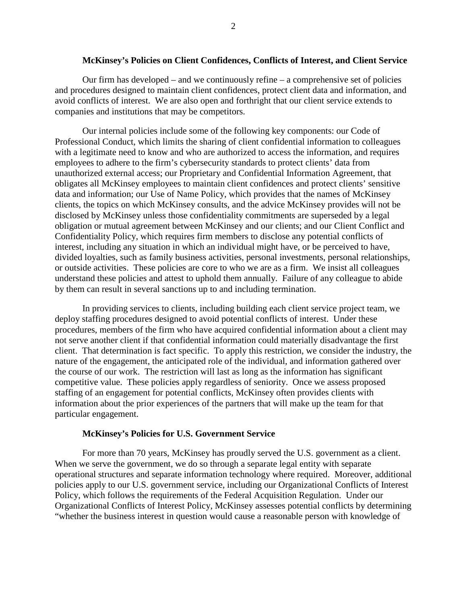#### **McKinsey's Policies on Client Confidences, Conflicts of Interest, and Client Service**

Our firm has developed – and we continuously refine – a comprehensive set of policies and procedures designed to maintain client confidences, protect client data and information, and avoid conflicts of interest. We are also open and forthright that our client service extends to companies and institutions that may be competitors.

Our internal policies include some of the following key components: our Code of Professional Conduct, which limits the sharing of client confidential information to colleagues with a legitimate need to know and who are authorized to access the information, and requires employees to adhere to the firm's cybersecurity standards to protect clients' data from unauthorized external access; our Proprietary and Confidential Information Agreement, that obligates all McKinsey employees to maintain client confidences and protect clients' sensitive data and information; our Use of Name Policy, which provides that the names of McKinsey clients, the topics on which McKinsey consults, and the advice McKinsey provides will not be disclosed by McKinsey unless those confidentiality commitments are superseded by a legal obligation or mutual agreement between McKinsey and our clients; and our Client Conflict and Confidentiality Policy, which requires firm members to disclose any potential conflicts of interest, including any situation in which an individual might have, or be perceived to have, divided loyalties, such as family business activities, personal investments, personal relationships, or outside activities. These policies are core to who we are as a firm. We insist all colleagues understand these policies and attest to uphold them annually. Failure of any colleague to abide by them can result in several sanctions up to and including termination.

In providing services to clients, including building each client service project team, we deploy staffing procedures designed to avoid potential conflicts of interest. Under these procedures, members of the firm who have acquired confidential information about a client may not serve another client if that confidential information could materially disadvantage the first client. That determination is fact specific. To apply this restriction, we consider the industry, the nature of the engagement, the anticipated role of the individual, and information gathered over the course of our work. The restriction will last as long as the information has significant competitive value. These policies apply regardless of seniority. Once we assess proposed staffing of an engagement for potential conflicts, McKinsey often provides clients with information about the prior experiences of the partners that will make up the team for that particular engagement.

# **McKinsey's Policies for U.S. Government Service**

For more than 70 years, McKinsey has proudly served the U.S. government as a client. When we serve the government, we do so through a separate legal entity with separate operational structures and separate information technology where required. Moreover, additional policies apply to our U.S. government service, including our Organizational Conflicts of Interest Policy, which follows the requirements of the Federal Acquisition Regulation. Under our Organizational Conflicts of Interest Policy, McKinsey assesses potential conflicts by determining "whether the business interest in question would cause a reasonable person with knowledge of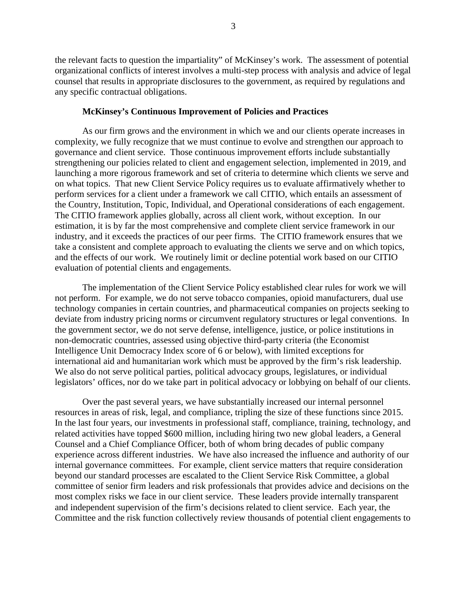the relevant facts to question the impartiality" of McKinsey's work. The assessment of potential organizational conflicts of interest involves a multi-step process with analysis and advice of legal counsel that results in appropriate disclosures to the government, as required by regulations and any specific contractual obligations.

#### **McKinsey's Continuous Improvement of Policies and Practices**

As our firm grows and the environment in which we and our clients operate increases in complexity, we fully recognize that we must continue to evolve and strengthen our approach to governance and client service. Those continuous improvement efforts include substantially strengthening our policies related to client and engagement selection, implemented in 2019, and launching a more rigorous framework and set of criteria to determine which clients we serve and on what topics. That new Client Service Policy requires us to evaluate affirmatively whether to perform services for a client under a framework we call CITIO, which entails an assessment of the Country, Institution, Topic, Individual, and Operational considerations of each engagement. The CITIO framework applies globally, across all client work, without exception. In our estimation, it is by far the most comprehensive and complete client service framework in our industry, and it exceeds the practices of our peer firms. The CITIO framework ensures that we take a consistent and complete approach to evaluating the clients we serve and on which topics, and the effects of our work. We routinely limit or decline potential work based on our CITIO evaluation of potential clients and engagements.

The implementation of the Client Service Policy established clear rules for work we will not perform. For example, we do not serve tobacco companies, opioid manufacturers, dual use technology companies in certain countries, and pharmaceutical companies on projects seeking to deviate from industry pricing norms or circumvent regulatory structures or legal conventions. In the government sector, we do not serve defense, intelligence, justice, or police institutions in non-democratic countries, assessed using objective third-party criteria (the Economist Intelligence Unit Democracy Index score of 6 or below), with limited exceptions for international aid and humanitarian work which must be approved by the firm's risk leadership. We also do not serve political parties, political advocacy groups, legislatures, or individual legislators' offices, nor do we take part in political advocacy or lobbying on behalf of our clients.

Over the past several years, we have substantially increased our internal personnel resources in areas of risk, legal, and compliance, tripling the size of these functions since 2015. In the last four years, our investments in professional staff, compliance, training, technology, and related activities have topped \$600 million, including hiring two new global leaders, a General Counsel and a Chief Compliance Officer, both of whom bring decades of public company experience across different industries. We have also increased the influence and authority of our internal governance committees. For example, client service matters that require consideration beyond our standard processes are escalated to the Client Service Risk Committee, a global committee of senior firm leaders and risk professionals that provides advice and decisions on the most complex risks we face in our client service. These leaders provide internally transparent and independent supervision of the firm's decisions related to client service. Each year, the Committee and the risk function collectively review thousands of potential client engagements to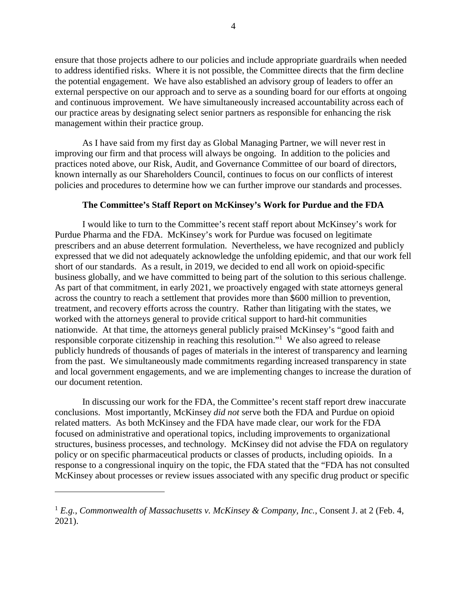ensure that those projects adhere to our policies and include appropriate guardrails when needed to address identified risks. Where it is not possible, the Committee directs that the firm decline the potential engagement. We have also established an advisory group of leaders to offer an external perspective on our approach and to serve as a sounding board for our efforts at ongoing and continuous improvement. We have simultaneously increased accountability across each of our practice areas by designating select senior partners as responsible for enhancing the risk management within their practice group.

As I have said from my first day as Global Managing Partner, we will never rest in improving our firm and that process will always be ongoing. In addition to the policies and practices noted above, our Risk, Audit, and Governance Committee of our board of directors, known internally as our Shareholders Council, continues to focus on our conflicts of interest policies and procedures to determine how we can further improve our standards and processes.

## **The Committee's Staff Report on McKinsey's Work for Purdue and the FDA**

I would like to turn to the Committee's recent staff report about McKinsey's work for Purdue Pharma and the FDA. McKinsey's work for Purdue was focused on legitimate prescribers and an abuse deterrent formulation. Nevertheless, we have recognized and publicly expressed that we did not adequately acknowledge the unfolding epidemic, and that our work fell short of our standards. As a result, in 2019, we decided to end all work on opioid-specific business globally, and we have committed to being part of the solution to this serious challenge. As part of that commitment, in early 2021, we proactively engaged with state attorneys general across the country to reach a settlement that provides more than \$600 million to prevention, treatment, and recovery efforts across the country. Rather than litigating with the states, we worked with the attorneys general to provide critical support to hard-hit communities nationwide. At that time, the attorneys general publicly praised McKinsey's "good faith and responsible corporate citizenship in reaching this resolution."<sup>1</sup> We also agreed to release publicly hundreds of thousands of pages of materials in the interest of transparency and learning from the past. We simultaneously made commitments regarding increased transparency in state and local government engagements, and we are implementing changes to increase the duration of our document retention.

In discussing our work for the FDA, the Committee's recent staff report drew inaccurate conclusions. Most importantly, McKinsey *did not* serve both the FDA and Purdue on opioid related matters. As both McKinsey and the FDA have made clear, our work for the FDA focused on administrative and operational topics, including improvements to organizational structures, business processes, and technology. McKinsey did not advise the FDA on regulatory policy or on specific pharmaceutical products or classes of products, including opioids. In a response to a congressional inquiry on the topic, the FDA stated that the "FDA has not consulted McKinsey about processes or review issues associated with any specific drug product or specific

<sup>1</sup> *E.g.*, *Commonwealth of Massachusetts v. McKinsey & Company, Inc.*, Consent J. at 2 (Feb. 4, 2021).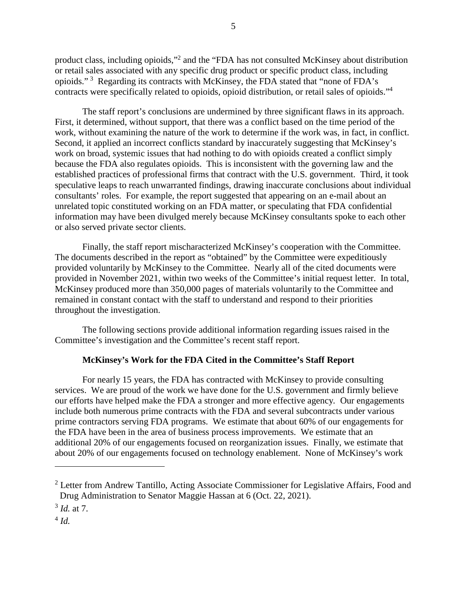product class, including opioids,"<sup>2</sup> and the "FDA has not consulted McKinsey about distribution or retail sales associated with any specific drug product or specific product class, including opioids."<sup>3</sup> Regarding its contracts with McKinsey, the FDA stated that "none of FDA's contracts were specifically related to opioids, opioid distribution, or retail sales of opioids."<sup>4</sup>

The staff report's conclusions are undermined by three significant flaws in its approach. First, it determined, without support, that there was a conflict based on the time period of the work, without examining the nature of the work to determine if the work was, in fact, in conflict. Second, it applied an incorrect conflicts standard by inaccurately suggesting that McKinsey's work on broad, systemic issues that had nothing to do with opioids created a conflict simply because the FDA also regulates opioids. This is inconsistent with the governing law and the established practices of professional firms that contract with the U.S. government. Third, it took speculative leaps to reach unwarranted findings, drawing inaccurate conclusions about individual consultants' roles. For example, the report suggested that appearing on an e-mail about an unrelated topic constituted working on an FDA matter, or speculating that FDA confidential information may have been divulged merely because McKinsey consultants spoke to each other or also served private sector clients.

Finally, the staff report mischaracterized McKinsey's cooperation with the Committee. The documents described in the report as "obtained" by the Committee were expeditiously provided voluntarily by McKinsey to the Committee. Nearly all of the cited documents were provided in November 2021, within two weeks of the Committee's initial request letter. In total, McKinsey produced more than 350,000 pages of materials voluntarily to the Committee and remained in constant contact with the staff to understand and respond to their priorities throughout the investigation.

The following sections provide additional information regarding issues raised in the Committee's investigation and the Committee's recent staff report.

# **McKinsey's Work for the FDA Cited in the Committee's Staff Report**

For nearly 15 years, the FDA has contracted with McKinsey to provide consulting services. We are proud of the work we have done for the U.S. government and firmly believe our efforts have helped make the FDA a stronger and more effective agency*.* Our engagements include both numerous prime contracts with the FDA and several subcontracts under various prime contractors serving FDA programs. We estimate that about 60% of our engagements for the FDA have been in the area of business process improvements. We estimate that an additional 20% of our engagements focused on reorganization issues. Finally, we estimate that about 20% of our engagements focused on technology enablement. None of McKinsey's work

 $2$  Letter from Andrew Tantillo, Acting Associate Commissioner for Legislative Affairs, Food and Drug Administration to Senator Maggie Hassan at 6 (Oct. 22, 2021).

<sup>3</sup> *Id.* at 7.

<sup>4</sup> *Id.*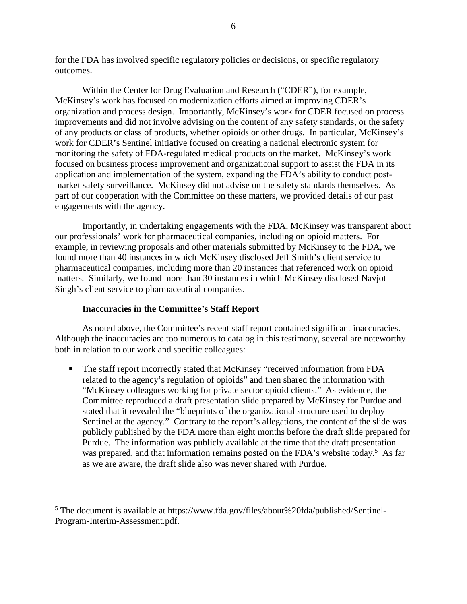for the FDA has involved specific regulatory policies or decisions, or specific regulatory outcomes.

Within the Center for Drug Evaluation and Research ("CDER"), for example, McKinsey's work has focused on modernization efforts aimed at improving CDER's organization and process design. Importantly, McKinsey's work for CDER focused on process improvements and did not involve advising on the content of any safety standards, or the safety of any products or class of products, whether opioids or other drugs. In particular, McKinsey's work for CDER's Sentinel initiative focused on creating a national electronic system for monitoring the safety of FDA-regulated medical products on the market. McKinsey's work focused on business process improvement and organizational support to assist the FDA in its application and implementation of the system, expanding the FDA's ability to conduct postmarket safety surveillance. McKinsey did not advise on the safety standards themselves. As part of our cooperation with the Committee on these matters, we provided details of our past engagements with the agency.

Importantly, in undertaking engagements with the FDA, McKinsey was transparent about our professionals' work for pharmaceutical companies, including on opioid matters. For example, in reviewing proposals and other materials submitted by McKinsey to the FDA, we found more than 40 instances in which McKinsey disclosed Jeff Smith's client service to pharmaceutical companies, including more than 20 instances that referenced work on opioid matters. Similarly, we found more than 30 instances in which McKinsey disclosed Navjot Singh's client service to pharmaceutical companies.

## **Inaccuracies in the Committee's Staff Report**

As noted above, the Committee's recent staff report contained significant inaccuracies. Although the inaccuracies are too numerous to catalog in this testimony, several are noteworthy both in relation to our work and specific colleagues:

 The staff report incorrectly stated that McKinsey "received information from FDA related to the agency's regulation of opioids" and then shared the information with "McKinsey colleagues working for private sector opioid clients." As evidence, the Committee reproduced a draft presentation slide prepared by McKinsey for Purdue and stated that it revealed the "blueprints of the organizational structure used to deploy Sentinel at the agency." Contrary to the report's allegations, the content of the slide was publicly published by the FDA more than eight months before the draft slide prepared for Purdue. The information was publicly available at the time that the draft presentation was prepared, and that information remains posted on the FDA's website today.<sup>5</sup> As far as we are aware, the draft slide also was never shared with Purdue.

<sup>&</sup>lt;sup>5</sup> The document is available at https://www.fda.gov/files/about%20fda/published/Sentinel-Program-Interim-Assessment.pdf.